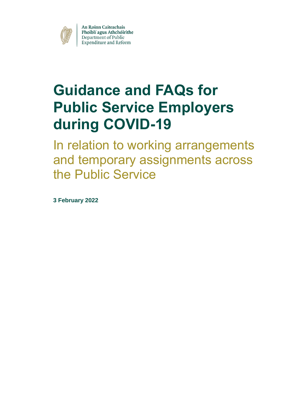

An Roinn Caiteachais Phoiblí agus Athchóirithe Department of Public<br>Expenditure and Reform

# **Guidance and FAQs for Public Service Employers during COVID-19**

In relation to working arrangements and temporary assignments across the Public Service

**3 February 2022**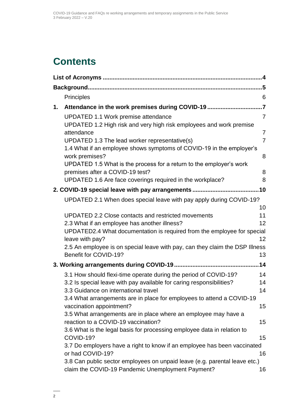## **Contents**

|    | <b>Principles</b>                                                                                                               | 6               |
|----|---------------------------------------------------------------------------------------------------------------------------------|-----------------|
| 1. |                                                                                                                                 |                 |
|    | UPDATED 1.1 Work premise attendance<br>UPDATED 1.2 High risk and very high risk employees and work premise                      | $\overline{7}$  |
|    | attendance                                                                                                                      | $\overline{7}$  |
|    | UPDATED 1.3 The lead worker representative(s)                                                                                   | $\overline{7}$  |
|    | 1.4 What if an employee shows symptoms of COVID-19 in the employer's<br>work premises?                                          | 8               |
|    | UPDATED 1.5 What is the process for a return to the employer's work<br>premises after a COVID-19 test?                          | 8               |
|    | UPDATED 1.6 Are face coverings required in the workplace?                                                                       | 8               |
|    |                                                                                                                                 |                 |
|    | UPDATED 2.1 When does special leave with pay apply during COVID-19?                                                             |                 |
|    |                                                                                                                                 | 10              |
|    | <b>UPDATED 2.2 Close contacts and restricted movements</b>                                                                      | 11              |
|    | 2.3 What if an employee has another illness?                                                                                    | 12 <sup>2</sup> |
|    | UPDATED2.4 What documentation is required from the employee for special<br>leave with pay?                                      | 12 <sup>2</sup> |
|    | 2.5 An employee is on special leave with pay, can they claim the DSP Illness<br>Benefit for COVID-19?                           | 13              |
|    |                                                                                                                                 | .14             |
|    | 3.1 How should flexi-time operate during the period of COVID-19?                                                                | 14              |
|    | 3.2 Is special leave with pay available for caring responsibilities?                                                            | 14              |
|    | 3.3 Guidance on international travel                                                                                            | 14              |
|    | 3.4 What arrangements are in place for employees to attend a COVID-19<br>vaccination appointment?                               | 15              |
|    | 3.5 What arrangements are in place where an employee may have a<br>reaction to a COVID-19 vaccination?                          | 15              |
|    | 3.6 What is the legal basis for processing employee data in relation to                                                         |                 |
|    | COVID-19?                                                                                                                       | 15              |
|    | 3.7 Do employers have a right to know if an employee has been vaccinated<br>or had COVID-19?                                    | 16              |
|    | 3.8 Can public sector employees on unpaid leave (e.g. parental leave etc.)<br>claim the COVID-19 Pandemic Unemployment Payment? | 16              |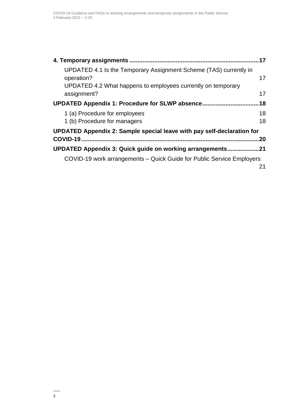| UPDATED 4.1 Is the Temporary Assignment Scheme (TAS) currently in<br>operation?<br>UPDATED 4.2 What happens to employees currently on temporary<br>assignment? | 17<br>17 |
|----------------------------------------------------------------------------------------------------------------------------------------------------------------|----------|
| UPDATED Appendix 1: Procedure for SLWP absence                                                                                                                 | 18       |
| 1 (a) Procedure for employees<br>1 (b) Procedure for managers                                                                                                  | 18<br>18 |
| UPDATED Appendix 2: Sample special leave with pay self-declaration for                                                                                         |          |
| COVID-19                                                                                                                                                       | 20       |
| <b>UPDATED Appendix 3: Quick guide on working arrangements.</b>                                                                                                | 21       |
| COVID-19 work arrangements – Quick Guide for Public Service Employers                                                                                          | 21       |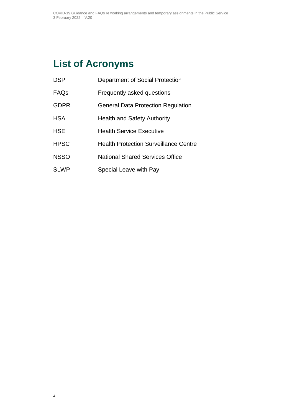## <span id="page-3-0"></span>**List of Acronyms**

| <b>DSP</b>  | Department of Social Protection              |
|-------------|----------------------------------------------|
| FAQs        | Frequently asked questions                   |
| <b>GDPR</b> | <b>General Data Protection Regulation</b>    |
| <b>HSA</b>  | <b>Health and Safety Authority</b>           |
| <b>HSE</b>  | <b>Health Service Executive</b>              |
| <b>HPSC</b> | <b>Health Protection Surveillance Centre</b> |
| <b>NSSO</b> | <b>National Shared Services Office</b>       |
| <b>SLWP</b> | Special Leave with Pay                       |
|             |                                              |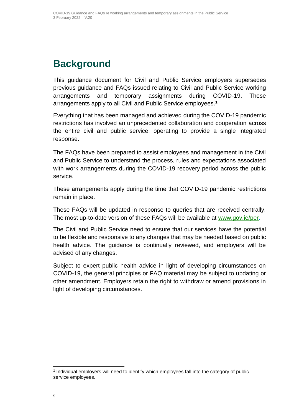## <span id="page-4-0"></span>**Background**

This guidance document for Civil and Public Service employers supersedes previous guidance and FAQs issued relating to Civil and Public Service working arrangements and temporary assignments during COVID-19. These arrangements apply to all Civil and Public Service employees.**<sup>1</sup>**

Everything that has been managed and achieved during the COVID-19 pandemic restrictions has involved an unprecedented collaboration and cooperation across the entire civil and public service, operating to provide a single integrated response.

The FAQs have been prepared to assist employees and management in the Civil and Public Service to understand the process, rules and expectations associated with work arrangements during the COVID-19 recovery period across the public service.

These arrangements apply during the time that COVID-19 pandemic restrictions remain in place.

These FAQs will be updated in response to queries that are received centrally. The most up-to-date version of these FAQs will be available at [www.gov.ie/per.](http://www.gov.ie/per)

The Civil and Public Service need to ensure that our services have the potential to be flexible and responsive to any changes that may be needed based on public health advice. The guidance is continually reviewed, and employers will be advised of any changes.

Subject to expert public health advice in light of developing circumstances on COVID-19, the general principles or FAQ material may be subject to updating or other amendment. Employers retain the right to withdraw or amend provisions in light of developing circumstances.

 $\overline{a}$ **1** Individual employers will need to identify which employees fall into the category of public service employees.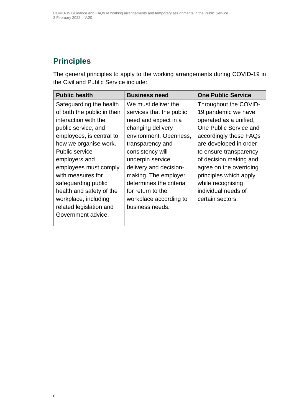### <span id="page-5-0"></span>**Principles**

The general principles to apply to the working arrangements during COVID-19 in the Civil and Public Service include:

| <b>Public health</b>        | <b>Business need</b>     | <b>One Public Service</b> |
|-----------------------------|--------------------------|---------------------------|
| Safeguarding the health     | We must deliver the      | Throughout the COVID-     |
| of both the public in their | services that the public | 19 pandemic we have       |
| interaction with the        | need and expect in a     | operated as a unified,    |
| public service, and         | changing delivery        | One Public Service and    |
| employees, is central to    | environment. Openness,   | accordingly these FAQs    |
| how we organise work.       | transparency and         | are developed in order    |
| <b>Public service</b>       | consistency will         | to ensure transparency    |
| employers and               | underpin service         | of decision making and    |
| employees must comply       | delivery and decision-   | agree on the overriding   |
| with measures for           | making. The employer     | principles which apply,   |
| safeguarding public         | determines the criteria  | while recognising         |
| health and safety of the    | for return to the        | individual needs of       |
| workplace, including        | workplace according to   | certain sectors.          |
| related legislation and     | business needs.          |                           |
| Government advice.          |                          |                           |
|                             |                          |                           |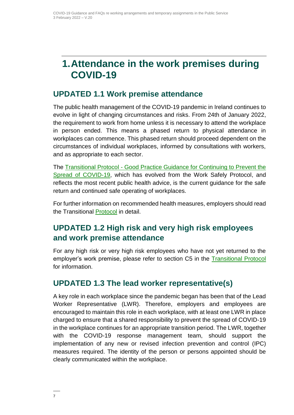## <span id="page-6-0"></span>**1.Attendance in the work premises during COVID-19**

#### <span id="page-6-1"></span>**UPDATED 1.1 Work premise attendance**

The public health management of the COVID-19 pandemic in Ireland continues to evolve in light of changing circumstances and risks. From 24th of January 2022, the requirement to work from home unless it is necessary to attend the workplace in person ended. This means a phased return to physical attendance in workplaces can commence. This phased return should proceed dependent on the circumstances of individual workplaces, informed by consultations with workers, and as appropriate to each sector.

The Transitional Protocol - [Good Practice Guidance for Continuing to Prevent the](https://enterprise.gov.ie/en/Publications/Transitional-Protocol-COVID-19.html)  [Spread of COVID-19,](https://enterprise.gov.ie/en/Publications/Transitional-Protocol-COVID-19.html) which has evolved from the Work Safely Protocol, and reflects the most recent public health advice, is the current guidance for the safe return and continued safe operating of workplaces.

For further information on recommended health measures, employers should read the Transitional **Protocol** in detail.

### <span id="page-6-2"></span>**UPDATED 1.2 High risk and very high risk employees and work premise attendance**

For any high risk or very high risk employees who have not yet returned to the employer's work premise, please refer to section C5 in the [Transitional Protocol](https://enterprise.gov.ie/en/Publications/Transitional-Protocol-COVID-19.html) for information.

#### <span id="page-6-3"></span>**UPDATED 1.3 The lead worker representative(s)**

A key role in each workplace since the pandemic began has been that of the Lead Worker Representative (LWR). Therefore, employers and employees are encouraged to maintain this role in each workplace, with at least one LWR in place charged to ensure that a shared responsibility to prevent the spread of COVID-19 in the workplace continues for an appropriate transition period. The LWR, together with the COVID-19 response management team, should support the implementation of any new or revised infection prevention and control (IPC) measures required. The identity of the person or persons appointed should be clearly communicated within the workplace.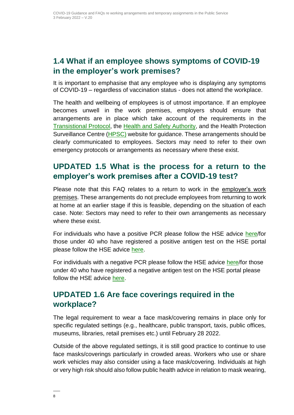#### <span id="page-7-0"></span>**1.4 What if an employee shows symptoms of COVID-19 in the employer's work premises?**

It is important to emphasise that any employee who is displaying any symptoms of COVID-19 – regardless of vaccination status - does not attend the workplace.

The health and wellbeing of employees is of utmost importance. If an employee becomes unwell in the work premises, employers should ensure that arrangements are in place which take account of the requirements in the [Transistional](https://enterprise.gov.ie/en/Publications/Transitional-Protocol-COVID-19.html) Protocol, the [Health and Safety Authority,](https://www.hsa.ie/eng/topics/covid-19/return_to_work_safely_templates_checklists_and_posters) and the Health Protection Surveillance Centre [\(HPSC\)](https://www.hpsc.ie/a-z/respiratory/coronavirus/novelcoronavirus/guidance/guidancefornon-clinicalsettings/) website for guidance. These arrangements should be clearly communicated to employees. Sectors may need to refer to their own emergency protocols or arrangements as necessary where these exist.

#### <span id="page-7-1"></span>**UPDATED 1.5 What is the process for a return to the employer's work premises after a COVID-19 test?**

Please note that this FAQ relates to a return to work in the employer's work premises. These arrangements do not preclude employees from returning to work at home at an earlier stage if this is feasible, depending on the situation of each case. Note: Sectors may need to refer to their own arrangements as necessary where these exist.

For individuals who have a positive PCR please follow the HSE advice [here/](https://www2.hse.ie/conditions/covid19/testing/positive-result/)for those under 40 who have registered a positive antigen test on the HSE portal please follow the HSE advice [here.](https://www2.hse.ie/conditions/covid19/testing/covid-19-antigen-test-results/?gclid=EAIaIQobChMIr4XptrLc9QIV2e3tCh1u9AUfEAAYASAAEgIC2PD_BwE&gclsrc=aw.ds#positive-antigen-test-result)

For individuals with a negative PCR please follow the HSE advice [here/](https://www2.hse.ie/conditions/covid19/testing/negative-test/)for those under 40 who have registered a negative antigen test on the HSE portal please follow the HSE advice [here.](https://www2.hse.ie/conditions/covid19/testing/covid-19-antigen-test-results/?gclid=EAIaIQobChMIr4XptrLc9QIV2e3tCh1u9AUfEAAYASAAEgIC2PD_BwE&gclsrc=aw.ds)

#### <span id="page-7-2"></span>**UPDATED 1.6 Are face coverings required in the workplace?**

The legal requirement to wear a face mask/covering remains in place only for specific regulated settings (e.g., healthcare, public transport, taxis, public offices, museums, libraries, retail premises etc.) until February 28 2022.

Outside of the above regulated settings, it is still good practice to continue to use face masks/coverings particularly in crowded areas. Workers who use or share work vehicles may also consider using a face mask/covering. Individuals at high or very high risk should also follow public health advice in relation to mask wearing,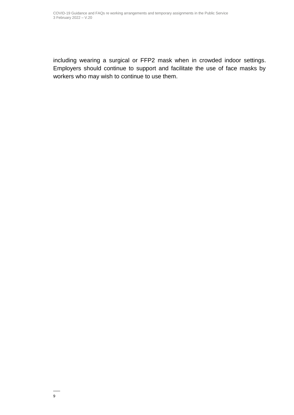including wearing a surgical or FFP2 mask when in crowded indoor settings. Employers should continue to support and facilitate the use of face masks by workers who may wish to continue to use them.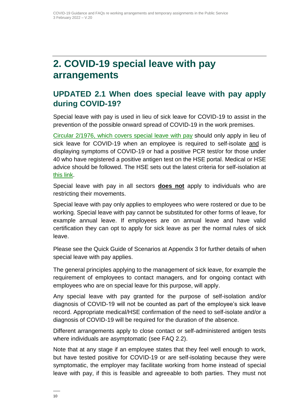## <span id="page-9-0"></span>**2. COVID-19 special leave with pay arrangements**

### <span id="page-9-1"></span>**UPDATED 2.1 When does special leave with pay apply during COVID-19?**

Special leave with pay is used in lieu of sick leave for COVID-19 to assist in the prevention of the possible onward spread of COVID-19 in the work premises.

[Circular 2/1976, which covers special leave with pay](https://circulars.gov.ie/pdf/circular/finance/1976/02.pdf) should only apply in lieu of sick leave for COVID-19 when an employee is required to self-isolate and is displaying symptoms of COVID-19 or had a positive PCR test/or for those under 40 who have registered a positive antigen test on the HSE portal. Medical or HSE advice should be followed. The HSE sets out the latest criteria for self-isolation at [this link.](https://www2.hse.ie/conditions/coronavirus/self-isolation/how-to-self-isolate.html?gclid=EAIaIQobChMI45Su5a_G7QIVyJ7tCh2iOgs0EAAYASAAEgKAvvD_BwE&gclsrc=aw.ds)

Special leave with pay in all sectors **does not** apply to individuals who are restricting their movements.

Special leave with pay only applies to employees who were rostered or due to be working. Special leave with pay cannot be substituted for other forms of leave, for example annual leave. If employees are on annual leave and have valid certification they can opt to apply for sick leave as per the normal rules of sick leave.

Please see the Quick Guide of Scenarios at Appendix 3 for further details of when special leave with pay applies.

The general principles applying to the management of sick leave, for example the requirement of employees to contact managers, and for ongoing contact with employees who are on special leave for this purpose, will apply.

Any special leave with pay granted for the purpose of self-isolation and/or diagnosis of COVID-19 will not be counted as part of the employee's sick leave record. Appropriate medical/HSE confirmation of the need to self-isolate and/or a diagnosis of COVID-19 will be required for the duration of the absence.

Different arrangements apply to close contact or self-administered antigen tests where individuals are asymptomatic (see FAQ 2.2).

Note that at any stage if an employee states that they feel well enough to work, but have tested positive for COVID-19 or are self-isolating because they were symptomatic, the employer may facilitate working from home instead of special leave with pay, if this is feasible and agreeable to both parties. They must not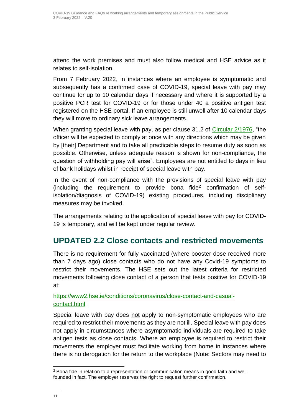attend the work premises and must also follow medical and HSE advice as it relates to self-isolation.

From 7 February 2022, in instances where an employee is symptomatic and subsequently has a confirmed case of COVID-19, special leave with pay may continue for up to 10 calendar days if necessary and where it is supported by a positive PCR test for COVID-19 or for those under 40 a positive antigen test registered on the HSE portal. If an employee is still unwell after 10 calendar days they will move to ordinary sick leave arrangements.

When granting special leave with pay, as per clause 31.2 of [Circular 2/1976,](https://circulars.gov.ie/pdf/circular/finance/1976/02.pdf) "the officer will be expected to comply at once with any directions which may be given by [their] Department and to take all practicable steps to resume duty as soon as possible. Otherwise, unless adequate reason is shown for non-compliance, the question of withholding pay will arise". Employees are not entitled to days in lieu of bank holidays whilst in receipt of special leave with pay.

In the event of non-compliance with the provisions of special leave with pay (including the requirement to provide bona fide<sup>2</sup> confirmation of selfisolation/diagnosis of COVID-19) existing procedures, including disciplinary measures may be invoked.

The arrangements relating to the application of special leave with pay for COVID-19 is temporary, and will be kept under regular review.

#### <span id="page-10-0"></span>**UPDATED 2.2 Close contacts and restricted movements**

There is no requirement for fully vaccinated (where booster dose received more than 7 days ago) close contacts who do not have any Covid-19 symptoms to restrict their movements. The HSE sets out the latest criteria for restricted movements following close contact of a person that tests positive for COVID-19 at:

#### [https://www2.hse.ie/conditions/coronavirus/close-contact-and-casual](https://www2.hse.ie/conditions/coronavirus/close-contact-and-casual-contact.html)[contact.html](https://www2.hse.ie/conditions/coronavirus/close-contact-and-casual-contact.html)

Special leave with pay does not apply to non-symptomatic employees who are required to restrict their movements as they are not ill. Special leave with pay does not apply in circumstances where asymptomatic individuals are required to take antigen tests as close contacts. Where an employee is required to restrict their movements the employer must facilitate working from home in instances where there is no derogation for the return to the workplace (Note: Sectors may need to

 $\overline{a}$ 

**<sup>2</sup>** Bona fide in relation to a representation or communication means in good faith and well founded in fact. The employer reserves the right to request further confirmation.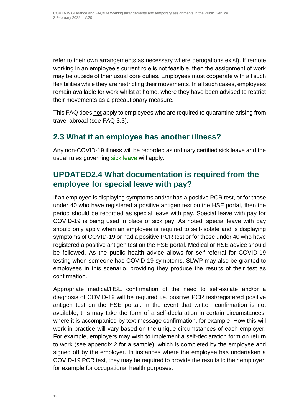refer to their own arrangements as necessary where derogations exist). If remote working in an employee's current role is not feasible, then the assignment of work may be outside of their usual core duties. Employees must cooperate with all such flexibilities while they are restricting their movements. In all such cases, employees remain available for work whilst at home, where they have been advised to restrict their movements as a precautionary measure.

This FAQ does not apply to employees who are required to quarantine arising from travel abroad (see FAQ 3.3).

#### <span id="page-11-0"></span>**2.3 What if an employee has another illness?**

Any non-COVID-19 illness will be recorded as ordinary certified sick leave and the usual rules governing [sick leave](http://www.irishstatutebook.ie/eli/2014/si/124/made/en/print) will apply.

### <span id="page-11-1"></span>**UPDATED2.4 What documentation is required from the employee for special leave with pay?**

If an employee is displaying symptoms and/or has a positive PCR test, or for those under 40 who have registered a positive antigen test on the HSE portal, then the period should be recorded as special leave with pay. Special leave with pay for COVID-19 is being used in place of sick pay. As noted, special leave with pay should only apply when an employee is required to self-isolate and is displaying symptoms of COVID-19 or had a positive PCR test or for those under 40 who have registered a positive antigen test on the HSE portal. Medical or HSE advice should be followed. As the public health advice allows for self-referral for COVID-19 testing when someone has COVID-19 symptoms, SLWP may also be granted to employees in this scenario, providing they produce the results of their test as confirmation.

Appropriate medical/HSE confirmation of the need to self-isolate and/or a diagnosis of COVID-19 will be required i.e. positive PCR test/registered positive antigen test on the HSE portal. In the event that written confirmation is not available, this may take the form of a self-declaration in certain circumstances, where it is accompanied by text message confirmation, for example. How this will work in practice will vary based on the unique circumstances of each employer. For example, employers may wish to implement a self-declaration form on return to work (see appendix 2 for a sample), which is completed by the employee and signed off by the employer. In instances where the employee has undertaken a COVID-19 PCR test, they may be required to provide the results to their employer, for example for occupational health purposes.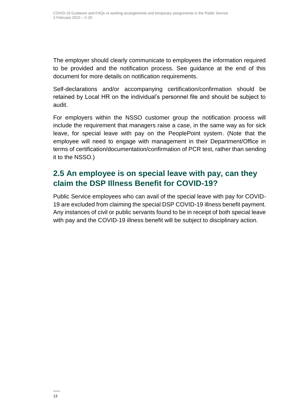The employer should clearly communicate to employees the information required to be provided and the notification process. See guidance at the end of this document for more details on notification requirements.

Self-declarations and/or accompanying certification/confirmation should be retained by Local HR on the individual's personnel file and should be subject to audit.

For employers within the NSSO customer group the notification process will include the requirement that managers raise a case, in the same way as for sick leave, for special leave with pay on the PeoplePoint system. (Note that the employee will need to engage with management in their Department/Office in terms of certification/documentation/confirmation of PCR test, rather than sending it to the NSSO.)

#### <span id="page-12-0"></span>**2.5 An employee is on special leave with pay, can they claim the DSP Illness Benefit for COVID-19?**

Public Service employees who can avail of the special leave with pay for COVID-19 are excluded from claiming the special DSP COVID-19 illness benefit payment. Any instances of civil or public servants found to be in receipt of both special leave with pay and the COVID-19 illness benefit will be subject to disciplinary action.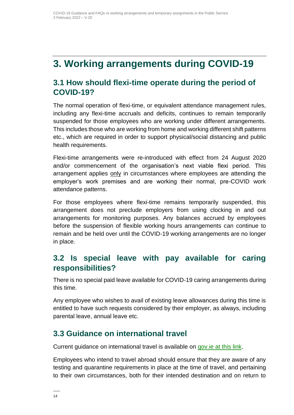## <span id="page-13-0"></span>**3. Working arrangements during COVID-19**

#### <span id="page-13-1"></span>**3.1 How should flexi-time operate during the period of COVID-19?**

The normal operation of flexi-time, or equivalent attendance management rules, including any flexi-time accruals and deficits, continues to remain temporarily suspended for those employees who are working under different arrangements. This includes those who are working from home and working different shift patterns etc., which are required in order to support physical/social distancing and public health requirements.

Flexi-time arrangements were re-introduced with effect from 24 August 2020 and/or commencement of the organisation's next viable flexi period. This arrangement applies only in circumstances where employees are attending the employer's work premises and are working their normal, pre-COVID work attendance patterns.

For those employees where flexi-time remains temporarily suspended, this arrangement does not preclude employers from using clocking in and out arrangements for monitoring purposes. Any balances accrued by employees before the suspension of flexible working hours arrangements can continue to remain and be held over until the COVID-19 working arrangements are no longer in place.

#### <span id="page-13-2"></span>**3.2 Is special leave with pay available for caring responsibilities?**

There is no special paid leave available for COVID-19 caring arrangements during this time.

Any employee who wishes to avail of existing leave allowances during this time is entitled to have such requests considered by their employer, as always, including parental leave, annual leave etc.

#### <span id="page-13-3"></span>**3.3 Guidance on international travel**

Current guidance on international travel is available on [gov.ie at this link.](https://www.gov.ie/en/publication/77952-government-advice-on-international-travel/)

Employees who intend to travel abroad should ensure that they are aware of any testing and quarantine requirements in place at the time of travel, and pertaining to their own circumstances, both for their intended destination and on return to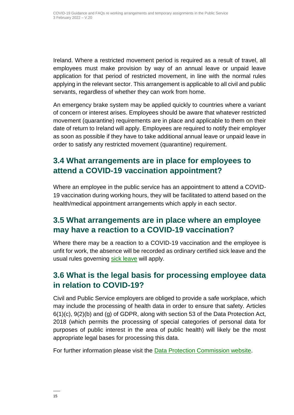Ireland. Where a restricted movement period is required as a result of travel, all employees must make provision by way of an annual leave or unpaid leave application for that period of restricted movement, in line with the normal rules applying in the relevant sector. This arrangement is applicable to all civil and public servants, regardless of whether they can work from home.

An emergency brake system may be applied quickly to countries where a variant of concern or interest arises. Employees should be aware that whatever restricted movement (quarantine) requirements are in place and applicable to them on their date of return to Ireland will apply. Employees are required to notify their employer as soon as possible if they have to take additional annual leave or unpaid leave in order to satisfy any restricted movement (quarantine) requirement.

### <span id="page-14-0"></span>**3.4 What arrangements are in place for employees to attend a COVID-19 vaccination appointment?**

Where an employee in the public service has an appointment to attend a COVID-19 vaccination during working hours, they will be facilitated to attend based on the health/medical appointment arrangements which apply in each sector.

#### <span id="page-14-1"></span>**3.5 What arrangements are in place where an employee may have a reaction to a COVID-19 vaccination?**

Where there may be a reaction to a COVID-19 vaccination and the employee is unfit for work, the absence will be recorded as ordinary certified sick leave and the usual rules governing [sick leave](http://www.irishstatutebook.ie/eli/2014/si/124/made/en/print) will apply.

#### <span id="page-14-2"></span>**3.6 What is the legal basis for processing employee data in relation to COVID-19?**

Civil and Public Service employers are obliged to provide a safe workplace, which may include the processing of health data in order to ensure that safety. Articles 6(1)(c), 9(2)(b) and (g) of GDPR, along with section 53 of the Data Protection Act, 2018 (which permits the processing of special categories of personal data for purposes of public interest in the area of public health) will likely be the most appropriate legal bases for processing this data.

For further information please visit the [Data Protection Commission website.](https://dataprotection.ie/en/news-media/blogs/data-protection-and-covid-19)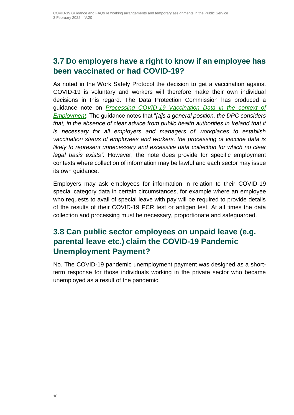#### <span id="page-15-0"></span>**3.7 Do employers have a right to know if an employee has been vaccinated or had COVID-19?**

As noted in the Work Safely Protocol the decision to get a vaccination against COVID-19 is voluntary and workers will therefore make their own individual decisions in this regard. The Data Protection Commission has produced a guidance note on *[Processing COVID-19 Vaccination Data in the context of](https://www.dataprotection.ie/en/dpc-guidance/processing-covid-19-vaccination-data-context-employment)  [Employment](https://www.dataprotection.ie/en/dpc-guidance/processing-covid-19-vaccination-data-context-employment)*. The guidance notes that "*[a]s a general position, the DPC considers that, in the absence of clear advice from public health authorities in Ireland that it is necessary for all employers and managers of workplaces to establish vaccination status of employees and workers, the processing of vaccine data is likely to represent unnecessary and excessive data collection for which no clear legal basis exists".* However, the note does provide for specific employment contexts where collection of information may be lawful and each sector may issue its own guidance.

Employers may ask employees for information in relation to their COVID-19 special category data in certain circumstances, for example where an employee who requests to avail of special leave with pay will be required to provide details of the results of their COVID-19 PCR test or antigen test. At all times the data collection and processing must be necessary, proportionate and safeguarded.

### <span id="page-15-1"></span>**3.8 Can public sector employees on unpaid leave (e.g. parental leave etc.) claim the COVID-19 Pandemic Unemployment Payment?**

No. The COVID-19 pandemic unemployment payment was designed as a shortterm response for those individuals working in the private sector who became unemployed as a result of the pandemic.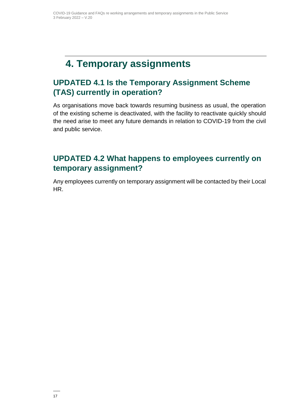### <span id="page-16-0"></span>**4. Temporary assignments**

### <span id="page-16-1"></span>**UPDATED 4.1 Is the Temporary Assignment Scheme (TAS) currently in operation?**

As organisations move back towards resuming business as usual, the operation of the existing scheme is deactivated, with the facility to reactivate quickly should the need arise to meet any future demands in relation to COVID-19 from the civil and public service.

#### <span id="page-16-2"></span>**UPDATED 4.2 What happens to employees currently on temporary assignment?**

Any employees currently on temporary assignment will be contacted by their Local HR.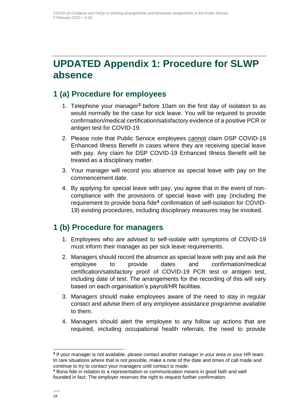## <span id="page-17-0"></span>**UPDATED Appendix 1: Procedure for SLWP absence**

#### <span id="page-17-1"></span>**1 (a) Procedure for employees**

- 1. Telephone your manager**<sup>3</sup>** before 10am on the first day of isolation to as would normally be the case for sick leave. You will be required to provide confirmation/medical certification/satisfactory evidence of a positive PCR or antigen test for COVID-19.
- 2. Please note that Public Service employees cannot claim DSP COVID-19 Enhanced Illness Benefit in cases where they are receiving special leave with pay. Any claim for DSP COVID-19 Enhanced Illness Benefit will be treated as a disciplinary matter.
- 3. Your manager will record you absence as special leave with pay on the commencement date.
- 4. By applying for special leave with pay, you agree that in the event of noncompliance with the provisions of special leave with pay (including the requirement to provide bona fide**<sup>4</sup>** confirmation of self-isolation for COVID-19) existing procedures, including disciplinary measures may be invoked.

#### <span id="page-17-2"></span>**1 (b) Procedure for managers**

- 1. Employees who are advised to self-isolate with symptoms of COVID-19 must inform their manager as per sick leave requirements.
- 2. Managers should record the absence as special leave with pay and ask the employee to provide dates and confirmation/medical certification/satisfactory proof of COVID-19 PCR test or antigen test, including date of test. The arrangements for the recording of this will vary based on each organisation's payroll/HR facilities.
- 3. Managers should make employees aware of the need to stay in regular contact and advise them of any employee assistance programme available to them.
- 4. Managers should alert the employee to any follow up actions that are required, including occupational health referrals, the need to provide

 $\overline{a}$ **3** If your manager is not available, please contact another manager in your area or your HR team. In rare situations where that is not possible, make a note of the date and times of call made and continue to try to contact your managers until contact is made.

**<sup>4</sup>** Bona fide in relation to a representation or communication means in good faith and well founded in fact. The employer reserves the right to request further confirmation.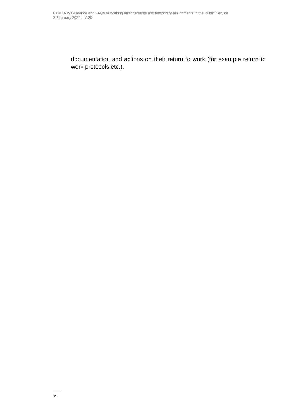documentation and actions on their return to work (for example return to work protocols etc.).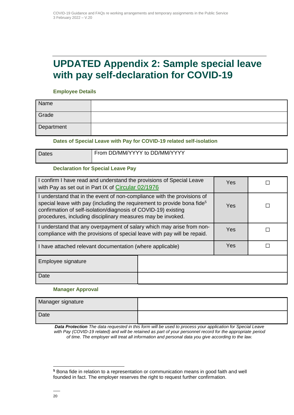### <span id="page-19-0"></span>**UPDATED Appendix 2: Sample special leave with pay self-declaration for COVID-19**

#### **Employee Details**

| Name       |  |
|------------|--|
| Grade      |  |
| Department |  |

#### **Dates of Special Leave with Pay for COVID-19 related self-isolation**

| Dates | From DD/MM/YYYY to DD/MM/YYYY |  |  |  |  |
|-------|-------------------------------|--|--|--|--|
|       |                               |  |  |  |  |

#### **Declaration for Special Leave Pay**

| I confirm I have read and understand the provisions of Special Leave<br>with Pay as set out in Part IX of Circular 02/1976                                                                                                                                                                      | Yes |  |  |
|-------------------------------------------------------------------------------------------------------------------------------------------------------------------------------------------------------------------------------------------------------------------------------------------------|-----|--|--|
| I understand that in the event of non-compliance with the provisions of<br>special leave with pay (including the requirement to provide bona fide <sup>5</sup><br>confirmation of self-isolation/diagnosis of COVID-19) existing<br>procedures, including disciplinary measures may be invoked. | Yes |  |  |
| I understand that any overpayment of salary which may arise from non-<br>compliance with the provisions of special leave with pay will be repaid.                                                                                                                                               | Yes |  |  |
| I have attached relevant documentation (where applicable)                                                                                                                                                                                                                                       | Yes |  |  |
| Employee signature                                                                                                                                                                                                                                                                              |     |  |  |
| Date                                                                                                                                                                                                                                                                                            |     |  |  |

#### **Manager Approval**

| Manager signature |  |
|-------------------|--|
| Date              |  |

*Data Protection The data requested in this form will be used to process your application for Special Leave with Pay (COVID-19 related) and will be retained as part of your personnel record for the appropriate period of time. The employer will treat all information and personal data you give according to the law.*

 $\overline{a}$ 

**<sup>5</sup>** Bona fide in relation to a representation or communication means in good faith and well founded in fact. The employer reserves the right to request further confirmation.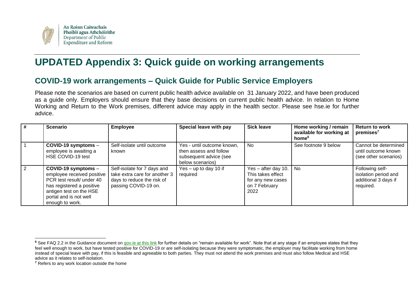

## **UPDATED Appendix 3: Quick guide on working arrangements**

#### **COVID-19 work arrangements – Quick Guide for Public Service Employers**

Please note the scenarios are based on current public health advice available on 31 January 2022, and have been produced as a guide only. Employers should ensure that they base decisions on current public health advice. In relation to Home Working and Return to the Work premises, different advice may apply in the health sector. Please see hse.ie for further advice.

<span id="page-20-0"></span>

| # | <b>Scenario</b>                                                                                                                                                                         | <b>Employee</b>                                                                                                    | Special leave with pay                                                                             | <b>Sick leave</b>                                                                        | Home working / remain<br>available for working at<br>home <sup>6</sup> | <b>Return to work</b><br>premises <sup>7</sup>                               |
|---|-----------------------------------------------------------------------------------------------------------------------------------------------------------------------------------------|--------------------------------------------------------------------------------------------------------------------|----------------------------------------------------------------------------------------------------|------------------------------------------------------------------------------------------|------------------------------------------------------------------------|------------------------------------------------------------------------------|
|   | COVID-19 symptoms -<br>employee is awaiting a<br>HSE COVID-19 test                                                                                                                      | Self-isolate until outcome<br>known                                                                                | Yes - until outcome known,<br>then assess and follow<br>subsequent advice (see<br>below scenarios) | <b>No</b>                                                                                | See footnote 9 below                                                   | Cannot be determined<br>until outcome known<br>(see other scenarios)         |
| 2 | $COVID-19$ symptoms $-$<br>employee received positive<br>PCR test result/ under 40<br>has registered a positive<br>antigen test on the HSE<br>portal and is not well<br>enough to work. | Self-isolate for 7 days and<br>take extra care for another 3<br>days to reduce the risk of<br>passing COVID-19 on. | Yes - up to day 10 if<br>required                                                                  | Yes $-$ after day 10.<br>This takes effect<br>for any new cases<br>on 7 February<br>2022 | No                                                                     | Following self-<br>isolation period and<br>additional 3 days if<br>required. |

<span id="page-20-1"></span> $\overline{a}$ **<sup>6</sup>** See FAQ 2.2 in the Guidance document on [gov.ie at this link](https://www.gov.ie/en/news/092fff-update-on-working-arrangements-and-leave-associated-with-covid-19-fo/) for further details on "remain available for work". Note that at any stage if an employee states that they feel well enough to work, but have tested positive for COVID-19 or are self-isolating because they were symptomatic, the employer may facilitate working from home instead of special leave with pay, if this is feasible and agreeable to both parties. They must not attend the work premises and must also follow Medical and HSE advice as it relates to self-isolation.

**<sup>7</sup>** Refers to any work location outside the home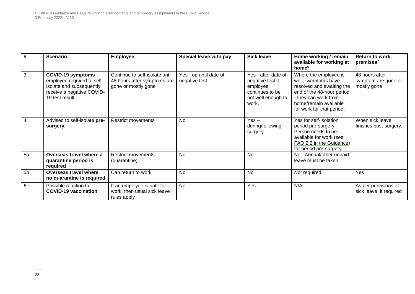| #              | <b>Scenario</b>                                                                                                              | <b>Employee</b>                                                                      | Special leave with pay                  | <b>Sick leave</b>                                                                                     | Home working / remain<br>available for working at<br>home <sup>6</sup>                                                                                                               | <b>Return to work</b><br>premises <sup>7</sup>       |
|----------------|------------------------------------------------------------------------------------------------------------------------------|--------------------------------------------------------------------------------------|-----------------------------------------|-------------------------------------------------------------------------------------------------------|--------------------------------------------------------------------------------------------------------------------------------------------------------------------------------------|------------------------------------------------------|
| $\overline{3}$ | COVID-19 symptoms -<br>employee required to self-<br>isolate and subsequently<br>receive a negative COVID-<br>19 test result | Continue to self-isolate until<br>48 hours after symptoms are<br>gone or mostly gone | Yes - up until date of<br>negative test | Yes - after date of<br>negative test if<br>employee<br>continues to be<br>not well enough to<br>work. | Where the employee is<br>well, symptoms have<br>resolved and awaiting the<br>end of the 48-hour period<br>- they can work from<br>home/remain available<br>for work for that period. | 48 hours after<br>symptom are gone or<br>mostly gone |
| $\overline{4}$ | Advised to self-isolate pre-<br>surgery.                                                                                     | <b>Restrict movements</b>                                                            | No                                      | $Yes -$<br>during/following<br>surgery                                                                | Yes for self-isolation<br>period pre-surgery.<br>Person needs to be<br>available for work (see<br>FAQ 2.2 in the Guidance)<br>for period pre-surgery.                                | When sick leave<br>finishes post-surgery.            |
| 5a             | Overseas travel where a<br>quarantine period is<br>required                                                                  | <b>Restrict movements</b><br>(quarantine)                                            | No                                      | No                                                                                                    | No - Annual/other unpaid<br>leave must be taken.                                                                                                                                     |                                                      |
| 5 <sub>b</sub> | Overseas travel where<br>no quarantine is required                                                                           | Can return to work                                                                   | <b>No</b>                               | <b>No</b>                                                                                             | Not required                                                                                                                                                                         | Yes                                                  |
| 6              | Possible reaction to<br><b>COVID-19 vaccination</b>                                                                          | If an employee is unfit for<br>work, then usual sick leave<br>rules apply            | <b>No</b>                               | Yes                                                                                                   | N/A                                                                                                                                                                                  | As per provisions of<br>sick leave, if required      |